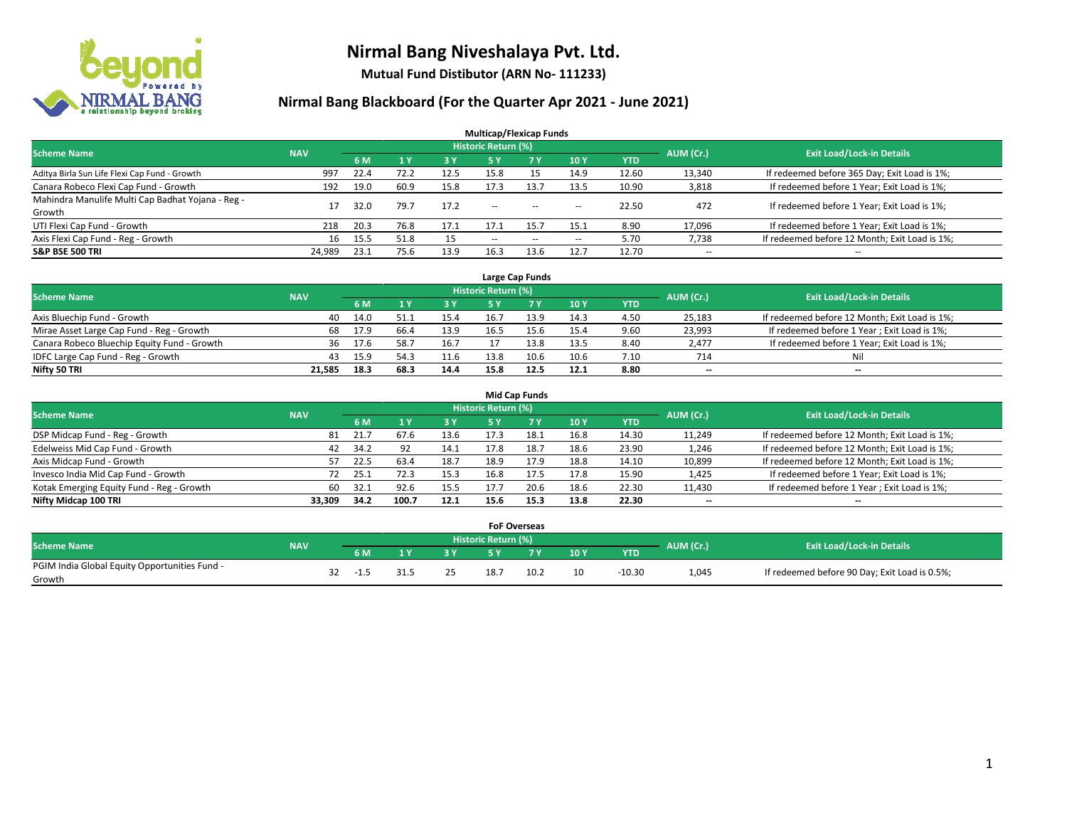

**Mutual Fund Distibutor (ARN No- 111233)**

| <b>Multicap/Flexicap Funds</b>                    |            |      |                |            |                            |           |                          |            |                          |                                               |  |  |  |
|---------------------------------------------------|------------|------|----------------|------------|----------------------------|-----------|--------------------------|------------|--------------------------|-----------------------------------------------|--|--|--|
| <b>Scheme Name</b>                                | <b>NAV</b> |      |                |            | <b>Historic Return (%)</b> |           |                          |            | AUM (Cr.)                | <b>Exit Load/Lock-in Details</b>              |  |  |  |
|                                                   |            | 6 M  | 1 <sub>V</sub> | <b>3 Y</b> | 5 Y                        | <b>7Y</b> | 10Y                      | <b>YTD</b> |                          |                                               |  |  |  |
| Aditya Birla Sun Life Flexi Cap Fund - Growth     | 997        | 22.4 | 72.2           | 12.5       | 15.8                       | 15        | 14.9                     | 12.60      | 13,340                   | If redeemed before 365 Day; Exit Load is 1%;  |  |  |  |
| Canara Robeco Flexi Cap Fund - Growth             | 192        | 19.0 | 60.9           | 15.8       | 17.3                       | 13.7      | 13.5                     | 10.90      | 3,818                    | If redeemed before 1 Year; Exit Load is 1%;   |  |  |  |
| Mahindra Manulife Multi Cap Badhat Yojana - Reg - | 17         | 32.0 | 79.7           | 17.2       | $\sim$ $\sim$              | $\sim$    |                          | 22.50      | 472                      | If redeemed before 1 Year; Exit Load is 1%;   |  |  |  |
| Growth                                            |            |      |                |            |                            |           | $\sim$                   |            |                          |                                               |  |  |  |
| UTI Flexi Cap Fund - Growth                       | 218        | 20.3 | 76.8           | 17.1       | 17.1                       | 15.7      | 15.1                     | 8.90       | 17,096                   | If redeemed before 1 Year; Exit Load is 1%;   |  |  |  |
| Axis Flexi Cap Fund - Reg - Growth                | 16         | 15.5 | 51.8           | 15         | $\overline{\phantom{a}}$   | $-$       | $\overline{\phantom{a}}$ | 5.70       | 7,738                    | If redeemed before 12 Month; Exit Load is 1%; |  |  |  |
| <b>S&amp;P BSE 500 TRI</b>                        | 24,989     | 23.1 | 75.6           | 13.9       | 16.3                       | 13.6      | 12.7                     | 12.70      | $\overline{\phantom{a}}$ | $- -$                                         |  |  |  |

|                                             |            |      |       |      |                            | Large Cap Funds |      |            |           |                                               |
|---------------------------------------------|------------|------|-------|------|----------------------------|-----------------|------|------------|-----------|-----------------------------------------------|
| <b>Scheme Name</b>                          | <b>NAV</b> |      |       |      | <b>Historic Return (%)</b> |                 |      |            | AUM (Cr.) | <b>Exit Load/Lock-in Details</b>              |
|                                             |            | 6 M  |       | 3 Y  |                            | 7 Y             | 10Y  | <b>YTD</b> |           |                                               |
| Axis Bluechip Fund - Growth                 | 40         | 14.0 |       | 15.4 | 16.7                       | 13.9            | 14.3 | 4.50       | 25,183    | If redeemed before 12 Month; Exit Load is 1%; |
| Mirae Asset Large Cap Fund - Reg - Growth   | 68         | 17.9 | -66.4 | 13.9 | 16.5                       |                 | 15.4 | 9.60       | 23,993    | If redeemed before 1 Year; Exit Load is 1%;   |
| Canara Robeco Bluechip Equity Fund - Growth | 36         | 17.6 | 58.   | 16.7 |                            |                 | 13.5 | 8.40       | 2,477     | If redeemed before 1 Year; Exit Load is 1%;   |
| IDFC Large Cap Fund - Reg - Growth          | 43         | 15.9 | 54.3  | 11.6 | 13.8                       | 10.6            | 10.6 | 7.10       | 714       | Nil                                           |
| Nifty 50 TRI                                | 21.585     | 18.3 | 68.3  | 14.4 | 15.8                       | 12.5            | 12.1 | 8.80       | $- -$     | $-$                                           |

| <b>Mid Cap Funds</b>                      |            |           |                                  |           |      |      |      |            |                          |                                               |  |  |  |  |
|-------------------------------------------|------------|-----------|----------------------------------|-----------|------|------|------|------------|--------------------------|-----------------------------------------------|--|--|--|--|
| <b>Scheme Name</b>                        | <b>NAV</b> | AUM (Cr.) | <b>Exit Load/Lock-in Details</b> |           |      |      |      |            |                          |                                               |  |  |  |  |
|                                           |            | 6 M       |                                  | <b>3Y</b> | 5 Y  |      | 10Y  | <b>YTD</b> |                          |                                               |  |  |  |  |
| DSP Midcap Fund - Reg - Growth            | 81         | 21.7      | 67.6                             | 13.6      | 17.3 | 18.1 | 16.8 | 14.30      | 11,249                   | If redeemed before 12 Month; Exit Load is 1%; |  |  |  |  |
| Edelweiss Mid Cap Fund - Growth           | 42         | 34.2      | 92                               | 14.1      | 17.8 | 18.7 | 18.6 | 23.90      | 1,246                    | If redeemed before 12 Month; Exit Load is 1%; |  |  |  |  |
| Axis Midcap Fund - Growth                 | 57         | 22.5      | 63.4                             | 18.7      | 18.9 | 17.9 | 18.8 | 14.10      | 10,899                   | If redeemed before 12 Month; Exit Load is 1%; |  |  |  |  |
| Invesco India Mid Cap Fund - Growth       | 72         | 25.1      | 72.3                             | 15.3      | 16.8 | 17.5 | 17.8 | 15.90      | 1,425                    | If redeemed before 1 Year; Exit Load is 1%;   |  |  |  |  |
| Kotak Emerging Equity Fund - Reg - Growth | 60         | 32.1      | 92.6                             | 15.5      | 17.7 | 20.6 | 18.6 | 22.30      | 11,430                   | If redeemed before 1 Year; Exit Load is 1%;   |  |  |  |  |
| Nifty Midcap 100 TRI                      | 33.309     | 34.2      | 100.7                            | 12.1      | 15.6 | 15.3 | 13.8 | 22.30      | $\overline{\phantom{m}}$ | $\overline{\phantom{a}}$                      |  |  |  |  |

|                                                         |            |        |    |                            | <b>FoF Overseas</b> |     |            |           |                                               |
|---------------------------------------------------------|------------|--------|----|----------------------------|---------------------|-----|------------|-----------|-----------------------------------------------|
| Scheme Name                                             | <b>NAV</b> |        |    | <b>Historic Return (%)</b> |                     |     |            | AUM (Cr.) | <b>Exit Load/Lock-in Details</b>              |
|                                                         |            | 6 M    | 2V |                            | 7V                  | 10Y | <b>YTD</b> |           |                                               |
| PGIM India Global Equity Opportunities Fund -<br>Growth |            | $-1.5$ | つち | 18.7                       | 10.2                | 10  | $-10.30$   | 1,045     | If redeemed before 90 Day; Exit Load is 0.5%; |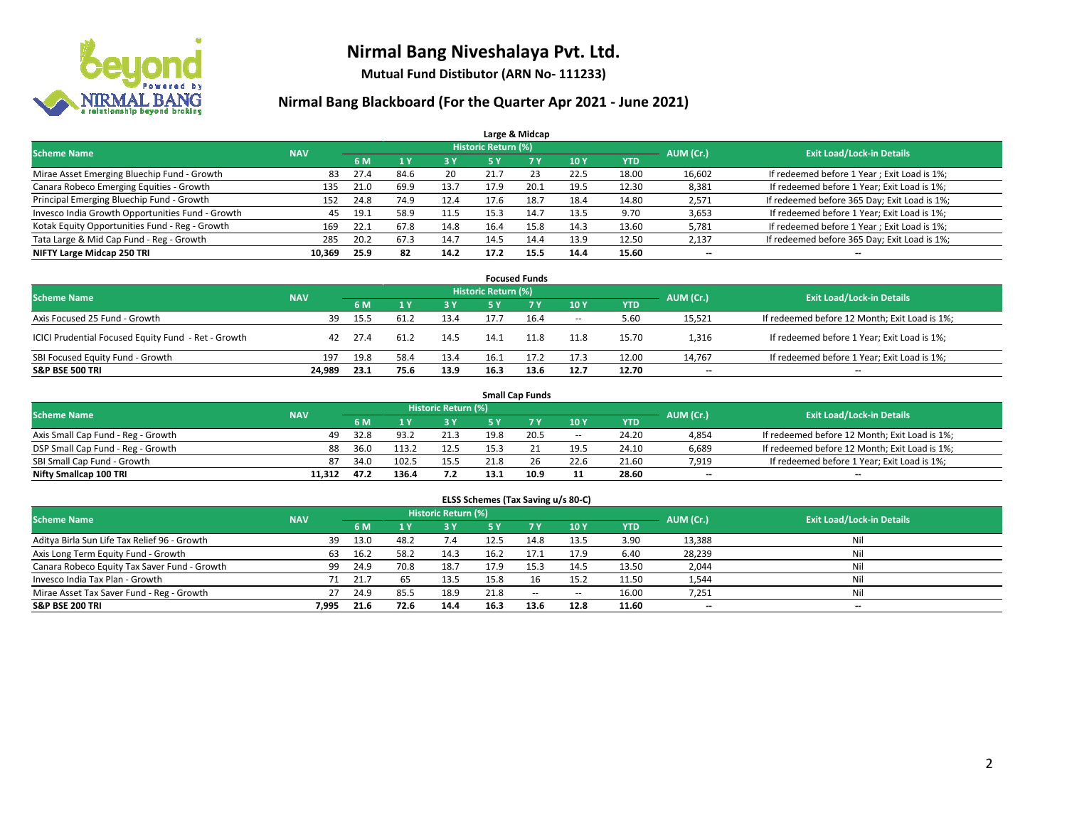

**Mutual Fund Distibutor (ARN No- 111233)**

|                                                  |            |      |      |            |                            | Large & Midcap |      |            |           |                                              |
|--------------------------------------------------|------------|------|------|------------|----------------------------|----------------|------|------------|-----------|----------------------------------------------|
| <b>Scheme Name</b>                               | <b>NAV</b> |      |      |            | <b>Historic Return (%)</b> |                |      |            | AUM (Cr.) | <b>Exit Load/Lock-in Details</b>             |
|                                                  |            | 6 M  |      | <b>3 Y</b> | 5 Y                        | <b>7Y</b>      | 10Y  | <b>YTD</b> |           |                                              |
| Mirae Asset Emerging Bluechip Fund - Growth      | 83         | 27.4 | 84.6 | 20         | 21.7                       | 23             | 22.5 | 18.00      | 16,602    | If redeemed before 1 Year; Exit Load is 1%;  |
| Canara Robeco Emerging Equities - Growth         | 135        | 21.0 | 69.9 | 13.7       | 17.9                       | 20.1           | 19.5 | 12.30      | 8,381     | If redeemed before 1 Year; Exit Load is 1%;  |
| Principal Emerging Bluechip Fund - Growth        | 152        | 24.8 | 74.9 | 12.4       | 17.6                       | 18.7           | 18.4 | 14.80      | 2,571     | If redeemed before 365 Day; Exit Load is 1%; |
| Invesco India Growth Opportunities Fund - Growth | 45         | 19.1 | 58.9 | 11.5       | 15.3                       | 14.7           | 13.5 | 9.70       | 3,653     | If redeemed before 1 Year; Exit Load is 1%;  |
| Kotak Equity Opportunities Fund - Reg - Growth   | 169        | 22.1 | 67.8 | 14.8       | 16.4                       | 15.8           | 14.3 | 13.60      | 5,781     | If redeemed before 1 Year; Exit Load is 1%;  |
| Tata Large & Mid Cap Fund - Reg - Growth         | 285        | 20.2 | 67.3 | 14.7       | 14.5                       | 14.4           | 13.9 | 12.50      | 2,137     | If redeemed before 365 Day; Exit Load is 1%; |
| NIFTY Large Midcap 250 TRI                       | 10,369     | 25.9 | 82   | 14.2       | 17.2                       | 15.5           | 14.4 | 15.60      | --        | $- -$                                        |

| <b>Focused Funds</b>                                |            |      |      |      |                     |      |        |            |           |                                               |  |  |  |
|-----------------------------------------------------|------------|------|------|------|---------------------|------|--------|------------|-----------|-----------------------------------------------|--|--|--|
| <b>Scheme Name</b>                                  | <b>NAV</b> |      |      |      | Historic Return (%) |      |        |            | AUM (Cr.) |                                               |  |  |  |
|                                                     |            | 6 M  |      | 3 Y  | 5 Y                 |      | 10Y    | <b>YTD</b> |           | <b>Exit Load/Lock-in Details</b>              |  |  |  |
| Axis Focused 25 Fund - Growth                       | 39         | 15.5 | 61.2 | 13.4 |                     | 16.4 | $\sim$ | 5.60       | 15,521    | If redeemed before 12 Month; Exit Load is 1%; |  |  |  |
| ICICI Prudential Focused Equity Fund - Ret - Growth | 42         | 27.4 | 61.2 | 14.5 | 14.1                | 11.8 | 11.8   | 15.70      | 1,316     | If redeemed before 1 Year; Exit Load is 1%;   |  |  |  |
| SBI Focused Equity Fund - Growth                    | 197        | 19.8 | 58.4 | 13.4 | 16.1                | 17.2 | 17.3   | 12.00      | 14,767    | If redeemed before 1 Year; Exit Load is 1%;   |  |  |  |
| <b>S&amp;P BSE 500 TRI</b>                          | 24.989     | 23.1 | 75.6 | 13.9 | 16.3                | 13.6 | 12.7   | 12.70      | $- -$     | $\overline{\phantom{a}}$                      |  |  |  |

| <b>Small Cap Funds</b>             |            |      |       |                            |      |      |        |            |           |                                               |  |  |  |
|------------------------------------|------------|------|-------|----------------------------|------|------|--------|------------|-----------|-----------------------------------------------|--|--|--|
| <b>Scheme Name</b>                 | <b>NAV</b> |      |       | <b>Historic Return (%)</b> |      |      |        |            | AUM (Cr.) | <b>Exit Load/Lock-in Details</b>              |  |  |  |
|                                    |            | 6 M  |       | 73 Y.                      |      |      | 10Y    | <b>YTD</b> |           |                                               |  |  |  |
| Axis Small Cap Fund - Reg - Growth | 49         | 32.8 | 93.2  | 21.3                       | 19.8 | 20.5 | $\sim$ | 24.20      | 4,854     | If redeemed before 12 Month; Exit Load is 1%; |  |  |  |
| DSP Small Cap Fund - Reg - Growth  | 88         | 36.0 | 113.2 | 12.5                       | 15.3 |      | 19.5   | 24.10      | 6,689     | If redeemed before 12 Month; Exit Load is 1%; |  |  |  |
| SBI Small Cap Fund - Growth        | 87         | 34.0 | 102.5 | 15.5                       | 21.8 |      | 22.6   | 21.60      | 7,919     | If redeemed before 1 Year; Exit Load is 1%;   |  |  |  |
| Nifty Smallcap 100 TRI             | 11.312     | 47.2 | 136.4 | 7.2                        | 13.1 | 10.9 | 11     | 28.60      | $- -$     | $\overline{\phantom{a}}$                      |  |  |  |

| ELSS Schemes (Tax Saving u/s 80-C)           |                                  |      |                |      |           |            |            |            |           |                          |  |  |  |
|----------------------------------------------|----------------------------------|------|----------------|------|-----------|------------|------------|------------|-----------|--------------------------|--|--|--|
| <b>Scheme Name</b>                           | <b>Exit Load/Lock-in Details</b> |      |                |      |           |            |            |            |           |                          |  |  |  |
|                                              | <b>NAV</b>                       | 6 M  | 1 <sup>1</sup> | 3 Y  | <b>5Y</b> | <b>7 Y</b> | <b>10Y</b> | <b>YTD</b> | AUM (Cr.) |                          |  |  |  |
| Aditya Birla Sun Life Tax Relief 96 - Growth | 39                               | 13.0 | 48.2           | 7.4  | 12.5      | 14.8       | 13.5       | 3.90       | 13,388    | Nil                      |  |  |  |
| Axis Long Term Equity Fund - Growth          | 63                               | 16.2 | 58.2           | 14.3 | 16.2      | 17.1       | 17.9       | 6.40       | 28,239    | Nil                      |  |  |  |
| Canara Robeco Equity Tax Saver Fund - Growth | 99                               | 24.9 | 70.8           | 18.7 | 17.9      | 15.3       | 14.5       | 13.50      | 2,044     | Nil                      |  |  |  |
| Invesco India Tax Plan - Growth              |                                  | 21.7 | 65             | 13.5 | 15.8      | 16         | 15.2       | 11.50      | 1,544     | Nil                      |  |  |  |
| Mirae Asset Tax Saver Fund - Reg - Growth    | 27                               | 24.9 | 85.5           | 18.9 | 21.8      | $\sim$     | $\!-$      | 16.00      | 7,251     | Nil                      |  |  |  |
| S&P BSE 200 TRI                              | 7.995                            | 21.6 | 72.6           | 14.4 | 16.3      | 13.6       | 12.8       | 11.60      | $- -$     | $\overline{\phantom{a}}$ |  |  |  |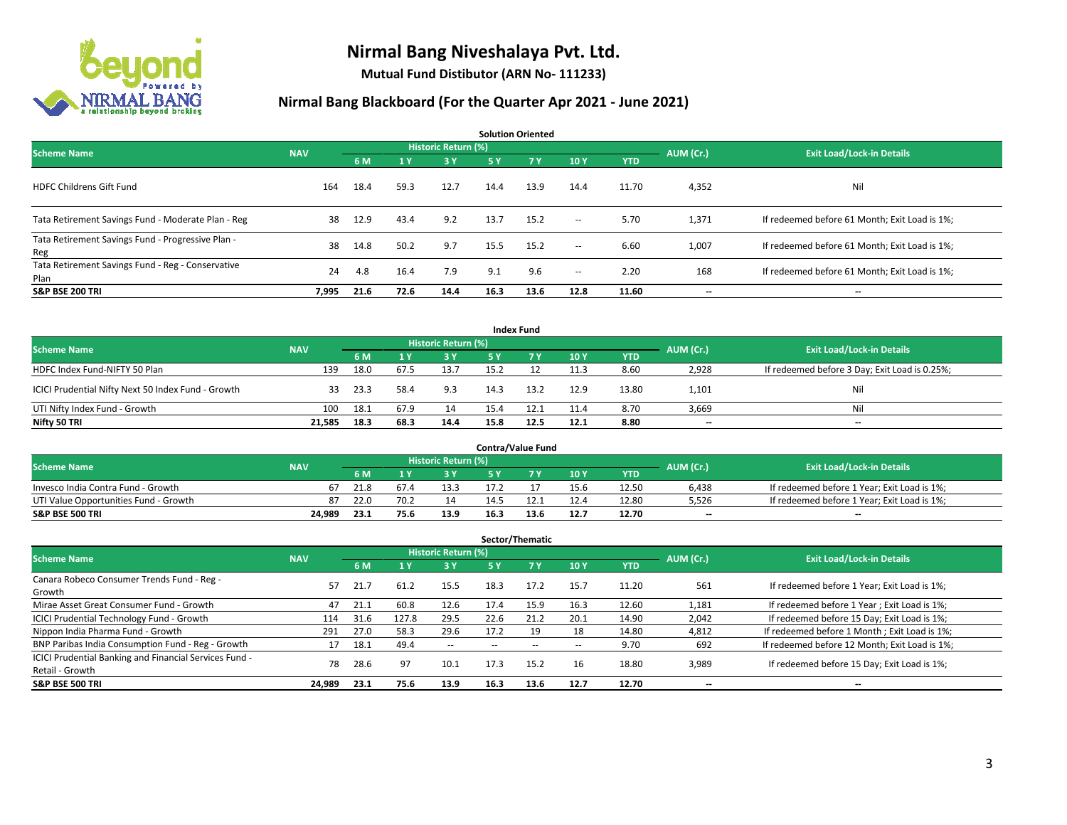

**Mutual Fund Distibutor (ARN No- 111233)**

| <b>Solution Oriented</b>                                  |            |      |      |                            |           |           |                          |            |           |                                               |  |  |  |
|-----------------------------------------------------------|------------|------|------|----------------------------|-----------|-----------|--------------------------|------------|-----------|-----------------------------------------------|--|--|--|
| <b>Scheme Name</b>                                        | <b>NAV</b> |      |      | <b>Historic Return (%)</b> |           |           |                          |            | AUM (Cr.) | <b>Exit Load/Lock-in Details</b>              |  |  |  |
|                                                           |            | 6 M  | 1 Y  | 3 Y                        | <b>5Y</b> | <b>7Y</b> | 10Y                      | <b>YTD</b> |           |                                               |  |  |  |
| <b>HDFC Childrens Gift Fund</b>                           | 164        | 18.4 | 59.3 | 12.7                       | 14.4      | 13.9      | 14.4                     | 11.70      | 4,352     | Nil                                           |  |  |  |
| Tata Retirement Savings Fund - Moderate Plan - Reg        | 38         | 12.9 | 43.4 | 9.2                        | 13.7      | 15.2      | $\overline{\phantom{a}}$ | 5.70       | 1,371     | If redeemed before 61 Month; Exit Load is 1%; |  |  |  |
| Tata Retirement Savings Fund - Progressive Plan -<br>Reg  | 38         | 14.8 | 50.2 | 9.7                        | 15.5      | 15.2      | $\sim$                   | 6.60       | 1,007     | If redeemed before 61 Month; Exit Load is 1%; |  |  |  |
| Tata Retirement Savings Fund - Reg - Conservative<br>Plan | 24         | 4.8  | 16.4 | 7.9                        | 9.1       | 9.6       | $\overline{\phantom{a}}$ | 2.20       | 168       | If redeemed before 61 Month; Exit Load is 1%; |  |  |  |
| <b>S&amp;P BSE 200 TRI</b>                                | 7,995      | 21.6 | 72.6 | 14.4                       | 16.3      | 13.6      | 12.8                     | 11.60      | --        | --                                            |  |  |  |

|                                                    |            |      |      |                            |      | <b>Index Fund</b> |      |            |           |                                               |
|----------------------------------------------------|------------|------|------|----------------------------|------|-------------------|------|------------|-----------|-----------------------------------------------|
| <b>Scheme Name</b>                                 | <b>NAV</b> |      |      | <b>Historic Return (%)</b> |      |                   |      |            | AUM (Cr.) | <b>Exit Load/Lock-in Details</b>              |
|                                                    |            | 6 M  |      | 73 Y.                      | 5 Y  | <b>77 V</b>       | 10Y  | <b>YTD</b> |           |                                               |
| HDFC Index Fund-NIFTY 50 Plan                      | 139        | 18.0 | 67.5 | 13.7                       | 15.2 |                   | 11.3 | 8.60       | 2,928     | If redeemed before 3 Day; Exit Load is 0.25%; |
| ICICI Prudential Nifty Next 50 Index Fund - Growth | 33.        | 23.3 | 58.4 | 9.3                        | 14.3 | 13.2              | 12.9 | 13.80      | 1,101     | Nil                                           |
| UTI Nifty Index Fund - Growth                      | 100        | 18.1 | 67.9 | 14                         | 15.4 | 12.1              | 11.4 | 8.70       | 3,669     | Nil                                           |
| Nifty 50 TRI                                       | 21,585     | 18.3 | 68.3 | 14.4                       | 15.8 | 12.5              | 12.1 | 8.80       | $- -$     | $\overline{\phantom{a}}$                      |

|                                       |            |                                  |      |      |      | <b>Contra/Value Fund</b> |      |       |       |                                             |
|---------------------------------------|------------|----------------------------------|------|------|------|--------------------------|------|-------|-------|---------------------------------------------|
| <b>Scheme Name</b>                    | AUM (Cr.)  | <b>Exit Load/Lock-in Details</b> |      |      |      |                          |      |       |       |                                             |
|                                       | <b>NAV</b> | 6 M                              |      | 3 Y  |      | 7 V                      | 10Y  | YTD   |       |                                             |
| Invesco India Contra Fund - Growth    | 67         | 21.8                             |      | 13.3 |      |                          | 15.6 | 12.50 | 6,438 | If redeemed before 1 Year; Exit Load is 1%; |
| UTI Value Opportunities Fund - Growth | 87         | 22.0                             | 70.2 | 14   | 14.5 |                          | 12.4 | 12.80 | 5,526 | If redeemed before 1 Year; Exit Load is 1%; |
| <b>S&amp;P BSE 500 TRI</b>            | 24.989     | 23.1                             | 75.6 | 13.9 | 16.3 | 13.6                     | 12.7 | 12.70 | $- -$ | $- -$                                       |

|                                                                           |            |      |       |                          |           | Sector/Thematic |               |            |           |                                               |
|---------------------------------------------------------------------------|------------|------|-------|--------------------------|-----------|-----------------|---------------|------------|-----------|-----------------------------------------------|
| <b>Scheme Name</b>                                                        | <b>NAV</b> |      |       | Historic Return (%)      |           |                 |               |            | AUM (Cr.) | <b>Exit Load/Lock-in Details</b>              |
|                                                                           |            | 6 M  |       | 3 Y                      | <b>5Y</b> | <b>7 Y</b>      | 10Y           | <b>YTD</b> |           |                                               |
| Canara Robeco Consumer Trends Fund - Reg -<br>Growth                      | 57         | 21.7 | 61.2  | 15.5                     | 18.3      | 17.2            | 15.7          | 11.20      | 561       | If redeemed before 1 Year; Exit Load is 1%;   |
| Mirae Asset Great Consumer Fund - Growth                                  | 47         | 21.1 | 60.8  | 12.6                     | 17.4      | 15.9            | 16.3          | 12.60      | 1,181     | If redeemed before 1 Year; Exit Load is 1%;   |
| <b>ICICI Prudential Technology Fund - Growth</b>                          | 114        | 31.6 | 127.8 | 29.5                     | 22.6      | 21.2            | 20.1          | 14.90      | 2,042     | If redeemed before 15 Day; Exit Load is 1%;   |
| Nippon India Pharma Fund - Growth                                         | 291        | 27.0 | 58.3  | 29.6                     | 17.2      | 19              | 18            | 14.80      | 4,812     | If redeemed before 1 Month; Exit Load is 1%;  |
| BNP Paribas India Consumption Fund - Reg - Growth                         |            | 18.1 | 49.4  | $\overline{\phantom{a}}$ |           |                 | $\sim$ $\sim$ | 9.70       | 692       | If redeemed before 12 Month; Exit Load is 1%; |
| ICICI Prudential Banking and Financial Services Fund -<br>Retail - Growth | 78         | 28.6 | 97    | 10.1                     | 17.3      | 15.2            | 16            | 18.80      | 3,989     | If redeemed before 15 Day; Exit Load is 1%;   |
| <b>S&amp;P BSE 500 TRI</b>                                                | 24,989     | 23.1 | 75.6  | 13.9                     | 16.3      | 13.6            | 12.7          | 12.70      | --        | --                                            |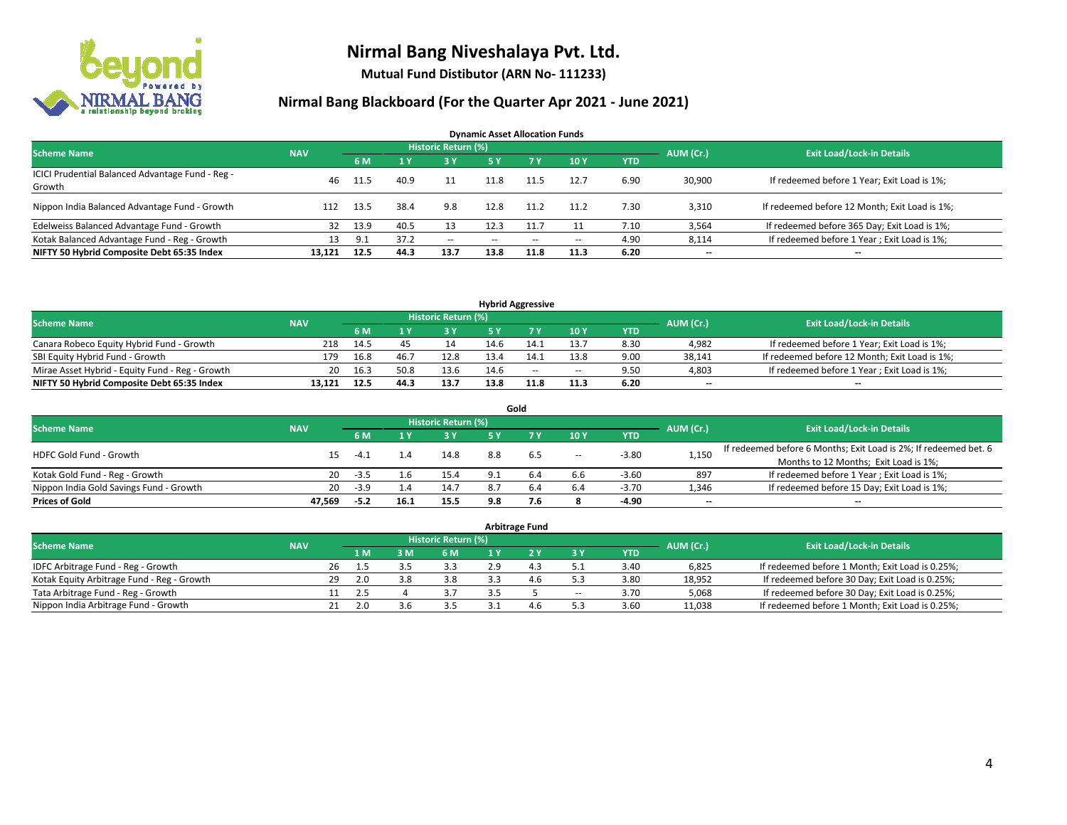

**Mutual Fund Distibutor (ARN No- 111233)**

| <b>Dynamic Asset Allocation Funds</b>                      |            |      |      |                            |      |        |       |            |           |                                               |  |  |  |
|------------------------------------------------------------|------------|------|------|----------------------------|------|--------|-------|------------|-----------|-----------------------------------------------|--|--|--|
| <b>Scheme Name</b>                                         | <b>NAV</b> |      |      | <b>Historic Return (%)</b> |      |        |       |            | AUM (Cr.) | <b>Exit Load/Lock-in Details</b>              |  |  |  |
|                                                            |            | 6 M  |      | 3 Y                        | 5 Y  | 7 Y    | 10Y   | <b>YTD</b> |           |                                               |  |  |  |
| ICICI Prudential Balanced Advantage Fund - Reg -<br>Growth | 46         | 11.5 | 40.9 | 11                         | 11.8 | 11.5   | 12.7  | 6.90       | 30,900    | If redeemed before 1 Year; Exit Load is 1%;   |  |  |  |
| Nippon India Balanced Advantage Fund - Growth              | 112        | 13.5 | 38.4 | 9.8                        | 12.8 | 11.2   | 11.2  | 7.30       | 3,310     | If redeemed before 12 Month; Exit Load is 1%; |  |  |  |
| Edelweiss Balanced Advantage Fund - Growth                 | 32         | 13.9 | 40.5 | 13                         | 12.3 | 11.7   |       | 7.10       | 3,564     | If redeemed before 365 Day; Exit Load is 1%;  |  |  |  |
| Kotak Balanced Advantage Fund - Reg - Growth               | 13         | 9.1  | 37.2 | $\sim$                     | --   | $\sim$ | $\!-$ | 4.90       | 8,114     | If redeemed before 1 Year; Exit Load is 1%;   |  |  |  |
| NIFTY 50 Hybrid Composite Debt 65:35 Index                 | 13.121     | 12.5 | 44.3 | 13.7                       | 13.8 | 11.8   | 11.3  | 6.20       | $- -$     | --                                            |  |  |  |

| <b>Hybrid Aggressive</b>                        |            |      |      |                     |      |        |                          |      |           |                                               |  |  |  |
|-------------------------------------------------|------------|------|------|---------------------|------|--------|--------------------------|------|-----------|-----------------------------------------------|--|--|--|
| <b>Scheme Name</b>                              | <b>NAV</b> |      |      | Historic Return (%) |      |        |                          |      | AUM (Cr.) | <b>Exit Load/Lock-in Details</b>              |  |  |  |
|                                                 |            | 6 M  |      | 2 V                 |      |        | 10Y                      | YTD  |           |                                               |  |  |  |
| Canara Robeco Equity Hybrid Fund - Growth       | 218        | 14.5 |      |                     | 14.6 |        | 13.7                     | 8.30 | 4,982     | If redeemed before 1 Year; Exit Load is 1%;   |  |  |  |
| SBI Equity Hybrid Fund - Growth                 | 179        | 16.8 | 46.7 | 12.8                | 13.4 |        | 13.8                     | 9.00 | 38.141    | If redeemed before 12 Month; Exit Load is 1%; |  |  |  |
| Mirae Asset Hybrid - Equity Fund - Reg - Growth | 20         | 16.3 | 50.8 | 13.6                | 14.6 | $\sim$ | $\overline{\phantom{a}}$ | 9.50 | 4,803     | If redeemed before 1 Year; Exit Load is 1%;   |  |  |  |
| NIFTY 50 Hybrid Composite Debt 65:35 Index      | 13.121     | 12.5 | 44.3 | 13.7                | 13.8 |        | 11.3                     | 6.20 | $-$       | $- -$                                         |  |  |  |

| Gold                                    |            |        |      |                     |     |     |       |            |           |                                                                  |  |  |  |
|-----------------------------------------|------------|--------|------|---------------------|-----|-----|-------|------------|-----------|------------------------------------------------------------------|--|--|--|
| <b>Scheme Name</b>                      | <b>NAV</b> |        |      | Historic Return (%) |     |     |       |            | AUM (Cr.) | <b>Exit Load/Lock-in Details</b>                                 |  |  |  |
|                                         |            | 6 M    |      | 73 Y.               | 5 Y |     | 10Y   | <b>YTD</b> |           |                                                                  |  |  |  |
| HDFC Gold Fund - Growth                 | 15         | -4.1   |      | 14.8                | 8.8 | 6.5 | $\!-$ | $-3.80$    | 1,150     | If redeemed before 6 Months; Exit Load is 2%; If redeemed bet. 6 |  |  |  |
|                                         |            |        |      |                     |     |     |       |            |           | Months to 12 Months; Exit Load is 1%;                            |  |  |  |
| Kotak Gold Fund - Reg - Growth          | 20         | $-3.5$ |      | 15.4                | 9.1 | 6.4 | 6.6   | $-3.60$    | 897       | If redeemed before 1 Year; Exit Load is 1%;                      |  |  |  |
| Nippon India Gold Savings Fund - Growth | 20         | $-3.9$ |      | 14.7                | -8. | b.4 | 6.4   | $-3.70$    | 1,346     | If redeemed before 15 Day; Exit Load is 1%;                      |  |  |  |
| <b>Prices of Gold</b>                   | 47.569     | $-5.2$ | 16.1 | 15.5                | 9.8 | 7.6 |       | -4.90      | --        | $- -$                                                            |  |  |  |

| <b>Arbitrage Fund</b>                      |            |    |     |     |                            |  |     |                          |            |           |                                                 |  |  |
|--------------------------------------------|------------|----|-----|-----|----------------------------|--|-----|--------------------------|------------|-----------|-------------------------------------------------|--|--|
| <b>Scheme Name</b>                         | <b>NAV</b> |    |     |     | <b>Historic Return (%)</b> |  |     |                          |            | AUM (Cr.) | <b>Exit Load/Lock-in Details</b>                |  |  |
|                                            |            |    | 4 M | 3 M | 6 M                        |  |     | ЗY                       | <b>YTD</b> |           |                                                 |  |  |
| IDFC Arbitrage Fund - Reg - Growth         |            | 26 | 1.5 |     | 3.3                        |  | 4.3 | ـ .                      | 3.40       | 6,825     | If redeemed before 1 Month; Exit Load is 0.25%; |  |  |
| Kotak Equity Arbitrage Fund - Reg - Growth |            | 29 | 2.0 | 3.8 | 3.8                        |  |     |                          | 3.80       | 18,952    | If redeemed before 30 Day; Exit Load is 0.25%;  |  |  |
| Tata Arbitrage Fund - Reg - Growth         |            |    | 2.5 |     |                            |  |     | $\overline{\phantom{a}}$ | 3.70       | 5,068     | If redeemed before 30 Day; Exit Load is 0.25%;  |  |  |
| Nippon India Arbitrage Fund - Growth       |            |    |     | 3.6 | 3.5                        |  | 4.6 |                          | 3.60       | 11.038    | If redeemed before 1 Month; Exit Load is 0.25%; |  |  |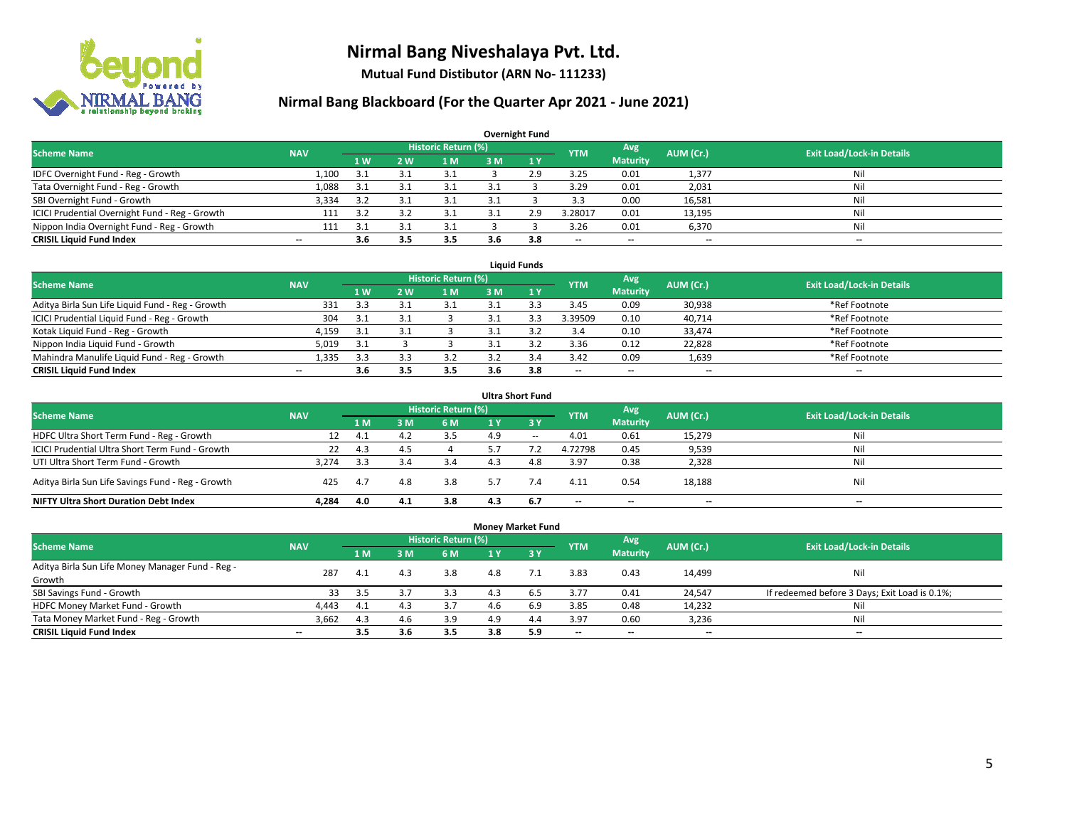

**Mutual Fund Distibutor (ARN No- 111233)**

| <b>Overnight Fund</b>                          |                          |                  |     |                            |     |     |            |                          |           |                                  |  |  |  |  |
|------------------------------------------------|--------------------------|------------------|-----|----------------------------|-----|-----|------------|--------------------------|-----------|----------------------------------|--|--|--|--|
| <b>Scheme Name</b>                             | <b>NAV</b>               |                  |     | <b>Historic Return (%)</b> |     |     | <b>YTM</b> | Avg                      | AUM (Cr.) | <b>Exit Load/Lock-in Details</b> |  |  |  |  |
|                                                |                          | $\overline{1}$ W | 2 W | 1 M                        | 3 M | 1Y  |            | <b>Maturity</b>          |           |                                  |  |  |  |  |
| IDFC Overnight Fund - Reg - Growth             | 1,100                    | 3.1              | ર   | 3.1                        |     | 2.9 | 3.25       | 0.01                     | 1,377     | Nil                              |  |  |  |  |
| Tata Overnight Fund - Reg - Growth             | 1,088                    | 3.1              | 3.1 | 3.1                        |     |     | 3.29       | 0.01                     | 2,031     | Nil                              |  |  |  |  |
| SBI Overnight Fund - Growth                    | 3,334                    | 3.2              | 3.1 | 3.1                        |     |     | 3.3        | 0.00                     | 16,581    | Nil                              |  |  |  |  |
| ICICI Prudential Overnight Fund - Reg - Growth | 111                      | 3.2              |     | 3.1                        |     | 2.9 | 3.28017    | 0.01                     | 13,195    | Nil                              |  |  |  |  |
| Nippon India Overnight Fund - Reg - Growth     | 111                      | 3.1              |     | 3.1                        |     |     | 3.26       | 0.01                     | 6,370     | Nil                              |  |  |  |  |
| <b>CRISIL Liquid Fund Index</b>                | $\overline{\phantom{a}}$ | 3.6              | 3.5 | 3.5                        | 3.6 | 3.8 | --         | $\overline{\phantom{a}}$ | --        | $\overline{\phantom{a}}$         |  |  |  |  |

| <b>Liquid Funds</b>                              |            |           |    |                     |     |     |                          |                 |           |                                  |  |  |  |
|--------------------------------------------------|------------|-----------|----|---------------------|-----|-----|--------------------------|-----------------|-----------|----------------------------------|--|--|--|
| <b>Scheme Name</b>                               | <b>NAV</b> |           |    | Historic Return (%) |     |     | <b>YTM</b>               | Avg             | AUM (Cr.) | <b>Exit Load/Lock-in Details</b> |  |  |  |
|                                                  |            | <b>1W</b> | 2W | 1 M                 | 3 M |     |                          | <b>Maturity</b> |           |                                  |  |  |  |
| Aditya Birla Sun Life Liquid Fund - Reg - Growth | 331        | -3.3      |    |                     |     |     | 3.45                     | 0.09            | 30,938    | *Ref Footnote                    |  |  |  |
| ICICI Prudential Liquid Fund - Reg - Growth      | 304        | 3.1       |    |                     |     |     | 3.39509                  | 0.10            | 40,714    | *Ref Footnote                    |  |  |  |
| Kotak Liquid Fund - Reg - Growth                 | 4,159      | -3.1      |    |                     |     |     | 3.4                      | 0.10            | 33,474    | *Ref Footnote                    |  |  |  |
| Nippon India Liquid Fund - Growth                | 5,019      | 3.1       |    |                     |     |     | 3.36                     | 0.12            | 22,828    | *Ref Footnote                    |  |  |  |
| Mahindra Manulife Liquid Fund - Reg - Growth     | 1,335      | 3.3       |    | 3.2                 |     |     | 3.42                     | 0.09            | 1,639     | *Ref Footnote                    |  |  |  |
| <b>CRISIL Liquid Fund Index</b>                  | $- -$      | 3.6       |    | 3.5                 | 3.6 | 3.8 | $\overline{\phantom{a}}$ | $- -$           | $- -$     | $-$                              |  |  |  |

| <b>Ultra Short Fund</b>                           |            |     |     |                            |     |        |                          |                          |           |                                  |  |  |  |
|---------------------------------------------------|------------|-----|-----|----------------------------|-----|--------|--------------------------|--------------------------|-----------|----------------------------------|--|--|--|
| <b>Scheme Name</b>                                | <b>NAV</b> |     |     | <b>Historic Return (%)</b> |     |        | <b>YTM</b>               | Avg                      | AUM (Cr.) | <b>Exit Load/Lock-in Details</b> |  |  |  |
|                                                   |            | 1 M | з м | 6 M                        | 1 Y | $-3V$  |                          | <b>Maturity</b>          |           |                                  |  |  |  |
| HDFC Ultra Short Term Fund - Reg - Growth         | 12         | 4.1 | 4.2 | 3.5                        | 4.9 | $\sim$ | 4.01                     | 0.61                     | 15,279    | Nil                              |  |  |  |
| ICICI Prudential Ultra Short Term Fund - Growth   | 22         | 4.3 | 4.5 |                            |     |        | 4.72798                  | 0.45                     | 9,539     | Ni                               |  |  |  |
| UTI Ultra Short Term Fund - Growth                | 3.274      | 3.3 |     | 3.4                        |     | 4.8    | 3.97                     | 0.38                     | 2,328     | Ni                               |  |  |  |
| Aditya Birla Sun Life Savings Fund - Reg - Growth | 425        | 4.7 | 4.8 | 3.8                        | 5.7 | 7.4    | 4.11                     | 0.54                     | 18,188    | Nil                              |  |  |  |
| <b>NIFTY Ultra Short Duration Debt Index</b>      | 4.284      | 4.0 | 4.1 | 3.8                        | 4.3 | 6.7    | $\overline{\phantom{a}}$ | $\overline{\phantom{a}}$ | $- -$     | $-$                              |  |  |  |

| <b>Money Market Fund</b>                         |            |      |     |                            |                  |             |            |                 |           |                                               |  |  |  |  |
|--------------------------------------------------|------------|------|-----|----------------------------|------------------|-------------|------------|-----------------|-----------|-----------------------------------------------|--|--|--|--|
| <b>Scheme Name</b>                               | <b>NAV</b> |      |     | <b>Historic Return (%)</b> |                  |             | <b>YTM</b> | Avg             | AUM (Cr.) | <b>Exit Load/Lock-in Details</b>              |  |  |  |  |
|                                                  |            | 1 M  | 3 M | 6 M                        | $\overline{1}$ Y | <b>23 V</b> |            | <b>Maturity</b> |           |                                               |  |  |  |  |
| Aditya Birla Sun Life Money Manager Fund - Reg - | 287        |      | 4.3 | 3.8                        | 4.8              |             | 3.83       | 0.43            |           | Nil                                           |  |  |  |  |
| Growth                                           |            | 4.1  |     |                            |                  |             |            |                 | 14,499    |                                               |  |  |  |  |
| SBI Savings Fund - Growth                        | 33         | 3.5  |     | 3.3                        | 4.3              | 6.5         | 3.77       | 0.41            | 24,547    | If redeemed before 3 Days; Exit Load is 0.1%; |  |  |  |  |
| HDFC Money Market Fund - Growth                  | 4.443      | -4.1 | 4.3 | 3.7                        |                  | 6.9         | 3.85       | 0.48            | 14,232    | Nil                                           |  |  |  |  |
| Tata Money Market Fund - Reg - Growth            | 3,662      | 4.3  | 4.6 | 3.9                        | 4.9              | 4.4         | 3.97       | 0.60            | 3,236     | Nil                                           |  |  |  |  |
| <b>CRISIL Liquid Fund Index</b>                  | $- -$      | 3.5  | 3.6 | 3.5                        | 3.8              | 5.9         | $- -$      | $- -$           | $- -$     | $-$                                           |  |  |  |  |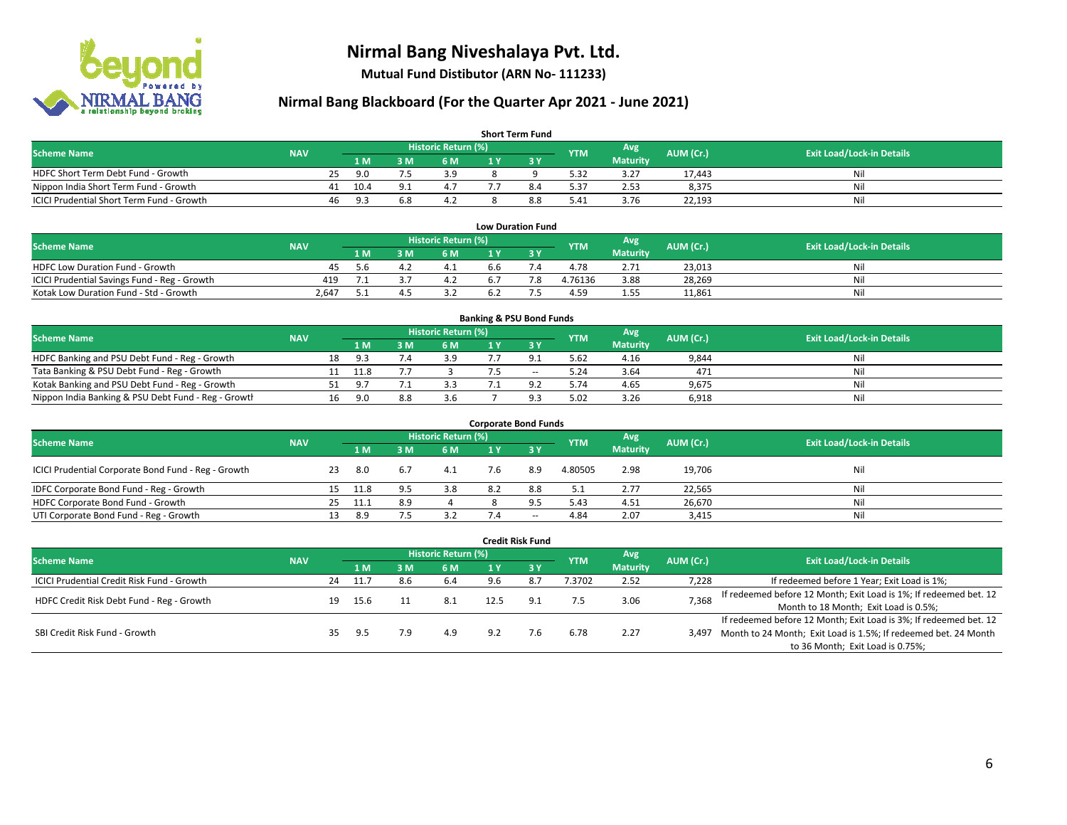

**Mutual Fund Distibutor (ARN No- 111233)**

| <b>Short Term Fund</b>                    |            |    |      |     |                            |     |     |            |                 |           |                                  |  |  |  |
|-------------------------------------------|------------|----|------|-----|----------------------------|-----|-----|------------|-----------------|-----------|----------------------------------|--|--|--|
| <b>Scheme Name</b>                        | <b>NAV</b> |    |      |     | <b>Historic Return (%)</b> |     |     | <b>YTM</b> | Avg             | AUM (Cr.) | <b>Exit Load/Lock-in Details</b> |  |  |  |
|                                           |            |    | 1 M. | 8 M | 6 M                        | 1 V |     |            | <b>Maturity</b> |           |                                  |  |  |  |
| HDFC Short Term Debt Fund - Growth        |            | 25 | 9.0  |     | 3.9                        |     |     | 5.32       | 3.27            | 17.443    | Nil                              |  |  |  |
| Nippon India Short Term Fund - Growth     |            | 41 | 10.4 |     | 4.7                        |     |     | 5.37       | 2.53            | 8.375     | Nil                              |  |  |  |
| ICICI Prudential Short Term Fund - Growth |            | 46 | 9.3  |     | 4.Z                        |     | 8.8 | 5.41       | 3.76            | 22,193    | Nil                              |  |  |  |

| <b>Low Duration Fund</b>                     |            |     |  |                     |     |  |            |                 |           |                                  |  |  |  |  |
|----------------------------------------------|------------|-----|--|---------------------|-----|--|------------|-----------------|-----------|----------------------------------|--|--|--|--|
| <b>Scheme Name</b>                           | <b>NAV</b> |     |  | Historic Return (%) |     |  | <b>YTM</b> | Avg             | AUM (Cr.) | <b>Exit Load/Lock-in Details</b> |  |  |  |  |
|                                              |            | 1 M |  | 6 M                 |     |  |            | <b>Maturity</b> |           |                                  |  |  |  |  |
| <b>HDFC Low Duration Fund - Growth</b>       | 45         | 5 h |  | 4.⊥                 | 6.6 |  | 4.78       | 2.71            | 23,013    | Nil                              |  |  |  |  |
| ICICI Prudential Savings Fund - Reg - Growth | 419        |     |  | 4.2                 |     |  | 4.76136    | 3.88            | 28,269    | Nil                              |  |  |  |  |
| Kotak Low Duration Fund - Std - Growth       | 2.647      |     |  |                     | 6.2 |  | 4.59       | 1.55            | 11,861    | Nil                              |  |  |  |  |

| <b>Banking &amp; PSU Bond Funds</b>                 |            |    |      |     |                     |  |        |            |                 |           |                                  |  |  |  |
|-----------------------------------------------------|------------|----|------|-----|---------------------|--|--------|------------|-----------------|-----------|----------------------------------|--|--|--|
| <b>Scheme Name</b>                                  | <b>NAV</b> |    |      |     | Historic Return (%) |  |        | <b>YTM</b> | Avg             | AUM (Cr.) | <b>Exit Load/Lock-in Details</b> |  |  |  |
|                                                     |            |    | 1 M  | . M | 6 M                 |  |        |            | <b>Maturity</b> |           |                                  |  |  |  |
| HDFC Banking and PSU Debt Fund - Reg - Growth       |            | 18 | 9.3  |     | 3.9                 |  |        | 5.62       | 4.16            | 9,844     | Nil                              |  |  |  |
| Tata Banking & PSU Debt Fund - Reg - Growth         |            |    | 11.8 |     |                     |  | $\sim$ | 5.24       | 3.64            | 471       | Nil                              |  |  |  |
| Kotak Banking and PSU Debt Fund - Reg - Growth      |            |    | 9.7  |     | 3.3                 |  |        | 5.74       | 4.65            | 9,675     | Nil                              |  |  |  |
| Nippon India Banking & PSU Debt Fund - Reg - Growth |            | 16 | 9.N  | 8.8 | 3.6                 |  |        | 5.02       | 3.26            | 6,918     | Nil                              |  |  |  |

| <b>Corporate Bond Funds</b>                         |            |    |      |     |                            |     |                          |            |                 |           |                                  |  |  |  |
|-----------------------------------------------------|------------|----|------|-----|----------------------------|-----|--------------------------|------------|-----------------|-----------|----------------------------------|--|--|--|
| <b>Scheme Name</b>                                  |            |    |      |     | <b>Historic Return (%)</b> |     |                          | <b>YTM</b> | Avg             | AUM (Cr.) |                                  |  |  |  |
|                                                     | <b>NAV</b> |    | 1 M  | M   | 6 M                        | 1 Y | 73 Y                     |            | <b>Maturity</b> |           | <b>Exit Load/Lock-in Details</b> |  |  |  |
| ICICI Prudential Corporate Bond Fund - Reg - Growth |            | 23 | -8.0 | 6.7 | 4.1                        | 7.b | 8.9                      | 4.80505    | 2.98            | 19,706    | Nil                              |  |  |  |
| IDFC Corporate Bond Fund - Reg - Growth             |            | 15 | 11.8 | 9.5 | 3.8                        | 8.2 | 8.8                      | 5.1        | 2.77            | 22,565    | Nil                              |  |  |  |
| HDFC Corporate Bond Fund - Growth                   |            | 25 | 11.1 | 8.9 |                            |     | 9.5                      | 5.43       | 4.51            | 26,670    | Nil                              |  |  |  |
| UTI Corporate Bond Fund - Reg - Growth              |            |    | 8.9  |     | 3.2                        | 7.4 | $\overline{\phantom{a}}$ | 4.84       | 2.07            | 3,415     | Nil                              |  |  |  |

|                                            |            |    |      |     |                            |     | <b>Credit Risk Fund</b> |            |                        |           |                                                                       |
|--------------------------------------------|------------|----|------|-----|----------------------------|-----|-------------------------|------------|------------------------|-----------|-----------------------------------------------------------------------|
| <b>Scheme Name</b>                         | <b>NAV</b> |    |      |     | <b>Historic Return (%)</b> |     |                         | <b>YTM</b> | Avg<br><b>Maturity</b> | AUM (Cr.) | <b>Exit Load/Lock-in Details</b>                                      |
|                                            |            |    | 1 M  | 3 M | 6 M                        | 1 Y | $\sqrt{3V}$             |            |                        |           |                                                                       |
| ICICI Prudential Credit Risk Fund - Growth |            | 24 | 11.7 | 8.6 | 6.4                        | 9.6 | 8.7                     | 3702       | 2.52                   | 7,228     | If redeemed before 1 Year; Exit Load is 1%;                           |
| HDFC Credit Risk Debt Fund - Reg - Growth  |            | 19 |      |     |                            |     | د.9                     | 7.5        | 3.06                   | 7,368     | If redeemed before 12 Month; Exit Load is 1%; If redeemed bet. 12     |
|                                            |            |    | 15.6 |     |                            |     |                         |            |                        |           | Month to 18 Month; Exit Load is 0.5%;                                 |
| SBI Credit Risk Fund - Growth              |            |    |      |     |                            |     |                         |            |                        |           | If redeemed before 12 Month; Exit Load is 3%; If redeemed bet. 12     |
|                                            |            |    | 9.5  | 7.9 | 4.9                        | 9.2 | 7.6                     | 6.78       | 2.27                   |           | 3,497 Month to 24 Month; Exit Load is 1.5%; If redeemed bet. 24 Month |
|                                            |            |    |      |     |                            |     |                         |            |                        |           | to 36 Month; Exit Load is 0.75%;                                      |